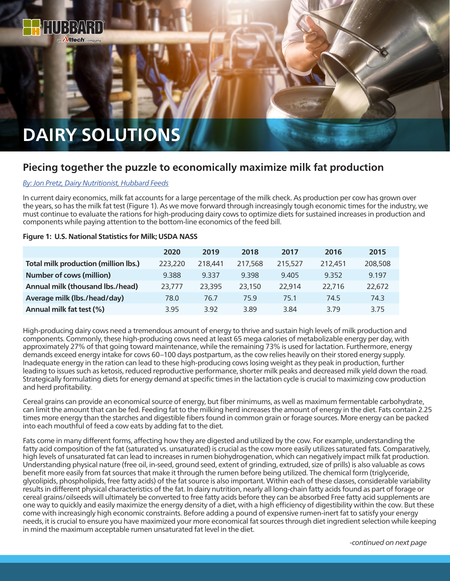

BBA

**Witech** company

# **Piecing together the puzzle to economically maximize milk fat production**

## *[By: Jon Pretz, Dairy Nutritionist, Hubbard Feeds](mailto:dairyteam%40hubbardfeeds.com?subject=)*

In current dairy economics, milk fat accounts for a large percentage of the milk check. As production per cow has grown over the years, so has the milk fat test (Figure 1). As we move forward through increasingly tough economic times for the industry, we must continue to evaluate the rations for high-producing dairy cows to optimize diets for sustained increases in production and components while paying attention to the bottom-line economics of the feed bill.

#### **Figure 1: U.S. National Statistics for Milk; USDA NASS**

|                                             | 2020    | 2019    | 2018    | 2017    | 2016    | 2015    |
|---------------------------------------------|---------|---------|---------|---------|---------|---------|
| <b>Total milk production (million lbs.)</b> | 223,220 | 218,441 | 217,568 | 215,527 | 212,451 | 208,508 |
| <b>Number of cows (million)</b>             | 9.388   | 9.337   | 9.398   | 9.405   | 9.352   | 9.197   |
| Annual milk (thousand lbs./head)            | 23,777  | 23,395  | 23,150  | 22,914  | 22,716  | 22,672  |
| Average milk (lbs./head/day)                | 78.0    | 76.7    | 75.9    | 75.1    | 74.5    | 74.3    |
| Annual milk fat test (%)                    | 3.95    | 3.92    | 3.89    | 3.84    | 3.79    | 3.75    |

High-producing dairy cows need a tremendous amount of energy to thrive and sustain high levels of milk production and components. Commonly, these high-producing cows need at least 65 mega calories of metabolizable energy per day, with approximately 27% of that going toward maintenance, while the remaining 73% is used for lactation. Furthermore, energy demands exceed energy intake for cows 60–100 days postpartum, as the cow relies heavily on their stored energy supply. Inadequate energy in the ration can lead to these high-producing cows losing weight as they peak in production, further leading to issues such as ketosis, reduced reproductive performance, shorter milk peaks and decreased milk yield down the road. Strategically formulating diets for energy demand at specific times in the lactation cycle is crucial to maximizing cow production and herd profitability.

Cereal grains can provide an economical source of energy, but fiber minimums, as well as maximum fermentable carbohydrate, can limit the amount that can be fed. Feeding fat to the milking herd increases the amount of energy in the diet. Fats contain 2.25 times more energy than the starches and digestible fibers found in common grain or forage sources. More energy can be packed into each mouthful of feed a cow eats by adding fat to the diet.

Fats come in many different forms, affecting how they are digested and utilized by the cow. For example, understanding the fatty acid composition of the fat (saturated vs. unsaturated) is crucial as the cow more easily utilizes saturated fats. Comparatively, high levels of unsaturated fat can lead to increases in rumen biohydrogenation, which can negatively impact milk fat production. Understanding physical nature (free oil, in-seed, ground seed, extent of grinding, extruded, size of prills) is also valuable as cows benefit more easily from fat sources that make it through the rumen before being utilized. The chemical form (triglyceride, glycolipids, phospholipids, free fatty acids) of the fat source is also important. Within each of these classes, considerable variability results in different physical characteristics of the fat. In dairy nutrition, nearly all long-chain fatty acids found as part of forage or cereal grains/oilseeds will ultimately be converted to free fatty acids before they can be absorbed Free fatty acid supplements are one way to quickly and easily maximize the energy density of a diet, with a high efficiency of digestibility within the cow. But these come with increasingly high economic constraints. Before adding a pound of expensive rumen-inert fat to satisfy your energy needs, it is crucial to ensure you have maximized your more economical fat sources through diet ingredient selection while keeping in mind the maximum acceptable rumen unsaturated fat level in the diet.